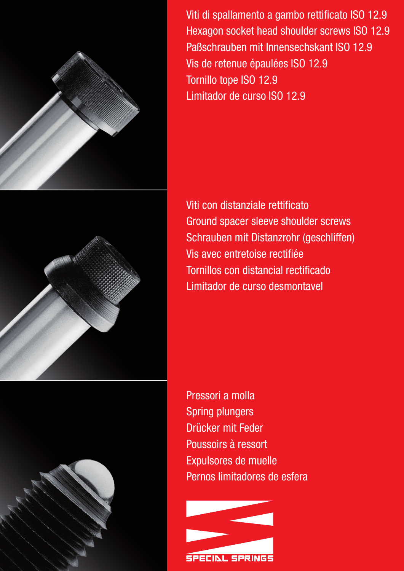



Viti di spallamento a gambo rettificato ISO 12.9 Hexagon socket head shoulder screws ISO 12.9 Paßschrauben mit Innensechskant ISO 12.9 Vis de retenue épaulées ISO 12.9 Tornillo tope ISO 12.9 Limitador de curso ISO 12.9

Viti con distanziale rettificato Ground spacer sleeve shoulder screws Schrauben mit Distanzrohr (geschliffen) Vis avec entretoise rectifiée Tornillos con distancial rectificado Limitador de curso desmontavel

Pressori a molla Spring plungers Drücker mit Feder Poussoirs à ressort Expulsores de muelle Pernos limitadores de esfera

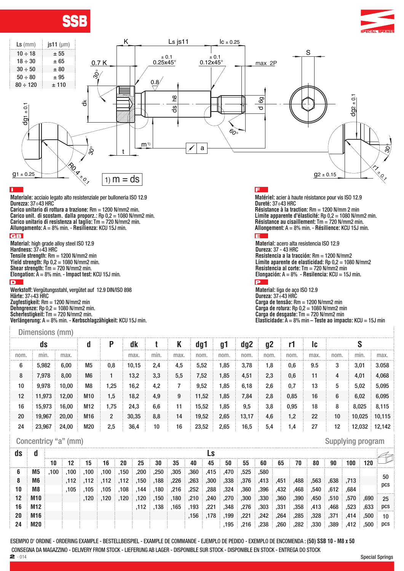





## $\mathbf{L}$

**Materiale:** acciaio legato alto resistenziale per bulloneria ISO 12.9 **Durezza:** 37÷43 HRC

**Carico unitario di rottura a trazione:** Rm = 1200 N/mm2 min. **Carico unit. di scostam. dalla proporz.:** Rp 0,2 = 1080 N/mm2 min. **Carico unitario di resistenza al taglio:** Tm = 720 N/mm2 min. **Allungamento:** A = 8% min. - **Resilienza:** KCU 15J min.

#### **GB**

**Material:** high grade alloy steel ISO 12.9 **Hardness:** 37÷43 HRC **Tensile strength:** Rm = 1200 N/mm2 min **Yield strength:** Rp 0,2 = 1080 N/mm2 min. **Shear strength:** Tm = 720 N/mm2 min. **Elongation:** A = 8% min. - **Impact test:** KCU 15J min. D

**Werkstoff:** Vergütungsstahl, vergütet auf 12.9 DIN/ISO 898 **Härte:** 37÷43 HRC **Zugfestigkeit:** Rm = 1200 N/mm2 min **Dehngrenze:** Rp 0,2 = 1080 N/mm2 min. **Scherfestigkeit:** Tm = 720 N/mm2 min. **Verlängerung:** A = 8% min. - **Kerbschlagzähigkeit:** KCU 15J min.

#### Dimensions (mm)

## **IE**

**Matériel:** acier à haute résistance pour vis ISO 12.9 **Dureté:** 37÷43 HRC **Résistance à la traction:** Rm = 1200 N/mm 2 min **Limite apparente d'élasticité:** Rp 0,2 = 1080 N/mm2 min. **Résistance au cisaillement:** Tm = 720 N/mm2 min. **Allongement:** A = 8% min. - **Résilience:** KCU 15J min.

**Material:** acero alta resistencia ISO 12.9 **Dureza:** 37 - 43 HRC **Resistencia a la tracción:** Rm = 1200 N/mm2 **Límite aparente de elasticidad:** Rp 0,2 = 1080 N/mm2 **Resistencia al corte:** Tm = 720 N/mm2 min **Elongación:** A = 8% - **Resilencia:** KCU = 15J min. E

**Material:** liga de aço ISO 12.9 **Dureza:** 37÷43 HRC **Carga de tensão:** Rm = 1200 N/mm2 min **Carga de rotura:** Rp 0,2 = 1080 N/mm2 min **Carga de desgaste:** Tm = 720 N/mm2 min **Elasticidade:** A = 8% min – **Teste ao impacto:** KCU = 15J min

| ds   |        |       | a              | р    | dk    |      |      | dg1   | g1   | dg2   | g <sub>2</sub> |      | 1c   |      |        |               |
|------|--------|-------|----------------|------|-------|------|------|-------|------|-------|----------------|------|------|------|--------|---------------|
| nom. | min.   | max.  |                |      | max.  | min. | max. | nom.  | nom. | nom.  | nom.           | nom. | max. | nom. | min.   | max.          |
| 6    | 5,982  | 6,00  | M <sub>5</sub> | 0,8  | 10,15 | 2,4  | 4,5  | 5,52  | l.85 | 3,78  | 1,8            | 0,6  | 9.5  | 3    | 3,01   | 3.058         |
| 8    | 7,978  | 8,00  | M <sub>6</sub> |      | 13,2  | 3,3  | 5,5  | 7,52  | 1,85 | 4,51  | 2,3            | 0,6  | 11   | 4    | 4,01   | 4,068         |
| 10   | 9,978  | 10,00 | M <sub>8</sub> | 1,25 | 16,2  | 4,2  |      | 9,52  | 1,85 | 6,18  | 2,6            | 0,7  | 13   | 5    | 5,02   | 5,095         |
| 12   | 11,973 | 12,00 | M10            | 1,5  | 18,2  | 4,9  | 9    | 11,52 | 1,85 | 7,84  | 2,8            | 0,85 | 16   | 6    | 6,02   | 6,095         |
| 16   | 15,973 | 16,00 | M12            | 1,75 | 24,3  | 6,6  | 11   | 15,52 | 1,85 | 9,5   | 3,8            | 0,95 | 18   | 8    | 8,025  | 8,115         |
| 20   | 19,967 | 20,00 | M16            | 2    | 30,35 | 8,8  | 14   | 19,52 | 2,65 | 13,17 | 4,6            | 1,2  | 22   | 10   | 10,025 | 10,115        |
| 24   | 23,967 | 24,00 | M20            | 2,5  | 36,4  | 10   | 16   | 23,52 | 2,65 | 16,5  | 5,4            | 1,4  | 27   | 12   |        | 12,032 12,142 |

## Concentricy "a" (mm) Supplying program

| as |            |      |      |                      |           |      |                                              |      |                                   |                                    |      |                     |      |      |                |      |                   |              |      |      |           |
|----|------------|------|------|----------------------|-----------|------|----------------------------------------------|------|-----------------------------------|------------------------------------|------|---------------------|------|------|----------------|------|-------------------|--------------|------|------|-----------|
|    |            | 10   | 12   | 15                   | 16        | 20   | 25                                           | 30   | 35                                | 40                                 | 45   | 50                  | 55   | 60   | 65             | 70   | 80                | 90           | 100  | 120  |           |
| O  | M5         | .100 | .100 |                      | .100, 100 | .150 | ,200                                         | .250 | ,305                              | .360                               | .415 | .470                | .525 | .580 |                |      |                   |              |      |      |           |
| ö  | M6         |      |      |                      |           |      | .226, 188, 150, 112, 112, 112, 112, 112,     |      |                                   | $\,$ ,263 $\,$ ,300 $\,$ ,338 $\,$ |      |                     | ,376 |      | ,413, 451, 488 |      |                   | ,563 638 713 |      |      | 50<br>pcs |
| 10 | M8         |      |      | .105, 105, 105, 105, |           |      | .144                                         |      | $,180$ $,216$ $,252$ $)$          |                                    | ,288 | , 324               | ,360 | ,396 | ,432           | .468 | .540              | .612         | .684 |      |           |
| 12 | <b>M10</b> |      |      |                      |           |      | . 180. [ 150 . 120]. [ 120]. [ 120]. [ 120]. |      |                                   | 240. 210.                          |      | .270                | ,300 | ,330 | ,360           | ,390 |                   | ,450 510 570 |      | .690 | 25        |
| 16 | M12        |      |      |                      |           |      |                                              |      | $,112$ , $,138$ , $,165$ , $,193$ |                                    | .221 | .348                | .276 | ,303 | .331           | .358 | $\therefore$ ,413 | .468         | .523 | .633 | pcs       |
| 20 | M16        |      |      |                      |           |      |                                              |      |                                   |                                    |      | ∃ 199. ∃ 178. ∃156. | .221 | .242 | .264           | .285 | $328$ $371$       |              | .414 | .500 | 10        |
| 24 | <b>M20</b> |      |      |                      |           |      |                                              |      |                                   |                                    |      | $-195$              | .216 | ,238 | .260           | .282 | ,330              | ,389         | .412 | ,500 | pcs       |

ESEMPIO D' ORDINE - ORDERING EXAMPLE - BESTELLBEISPIEL - EXAMPLE DE COMMANDE - EJEMPLO DE PEDIDO - EXEMPLO DE ENCOMENDA : **(50) SSB 10 - M8 x 50** CONSEGNA DA MAGAZZINO - DELIVERY FROM STOCK - LIEFERUNG AB LAGER - DISPONIBLE SUR STOCK - DISPONIBLE EN STOCK - ENTREGA DO STOCK<br>2 - 014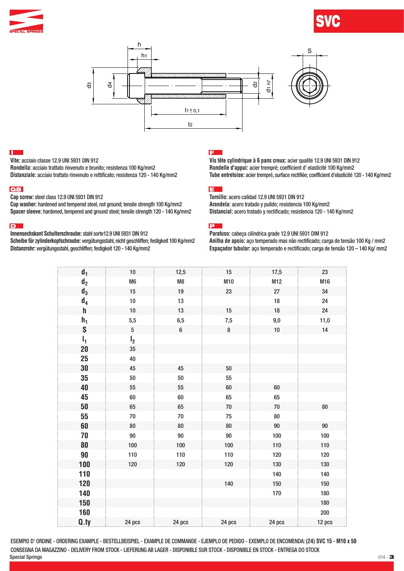







## П

**Vite:** acciaio classe 12.9 UNI 5931 DIN 912

**Rondella:** acciaio trattato rinvenuto e brunito; resistenza 100 Kg/mm2 **Distanziale:** acciaio trattato rinvenuto e rettificato; resistenza 120 - 140 Kg/mm2

#### **GB**

**Cap screw:** steel class 12.9 UNI 5931 DIN 912

**Cup washer:** hardened and tempered steel, not ground; tensile strength 100 Kg/mm2 **Spacer sleeve:** hardened, tempered and ground steel; tensile strength 120 - 140 Kg/mm2

#### D **D**

**Innensechskant Schulterschraube:** stahl sorte12.9 UNI 5931 DIN 912

**Scheibe für zylinderkopfschraube:** vergütungsstahl, nicht geschliffen; festigkeit 100 Kg/mm2 **Distanzrohr:** vergütungsstahl, geschliffen; festigkeit 120 - 140 Kg/mm2

## Ē

**Vis tête cylindrique à 6 pans creux:** acier qualité 12.9 UNI 5931 DIN 912 **Rondelle d'appui:** acier trempré; coefficient d' elasticité 100 Kg/mm2 **Tube entretoise:** acier trempré, surface rectifiée; coefficient d'elasticité 120 - 140 Kg/mm2

## **E**

**Tornillo:** acero calidad 12.9 UNI 5931 DIN 912 **Arandela:** acero tratado y pulido; resistencia 100 Kg/mm2 **Distancial:** acero tratado y rectificado; resistencia 120 - 140 Kg/mm2

P

**Parafuso:** cabeça cilindrica grade 12.9 UNI 5931 DIM 912 **Anilha de apoio:** aço temperado mas não rectificado; carga de tensão 100 Kg / mm2 **Espaçador tubular:** aço temperado e rectificado; carga de tensão 120 – 140 Kg/ mm2

| d <sub>1</sub> | $10$                 | 12,5          | 15      | 17,5       | 23      |
|----------------|----------------------|---------------|---------|------------|---------|
| d <sub>2</sub> | M <sub>6</sub>       | $\mathsf{M}8$ | M10     | M12        | M16     |
| $\mathsf{d}_3$ | $15\,$               | 19            | 23      | 27         | 34      |
| $d_4$          | $10\,$               | $13\,$        |         | $18\,$     | 24      |
| $\mathsf{h}$   | $10$                 | 13            | 15      | 18         | 24      |
| $h_1$          | 5,5                  | 6,5           | $7,\!5$ | $9,\!0$    | 11,0    |
| $\mathbf S$    | $\sqrt{5}$           | 6             | $\bf 8$ | $10\,$     | 14      |
|                |                      |               |         |            |         |
| $I_1$          | I <sub>2</sub><br>35 |               |         |            |         |
| 20             |                      |               |         |            |         |
| 25             | 40                   |               |         |            |         |
| 30             | 45                   | 45            | 50      |            |         |
| 35             | 50                   | 50            | 55      |            |         |
| 40             | 55                   | 55            | $60\,$  | 60         |         |
| 45             | 60                   | 60            | 65      | 65         |         |
| 50             | 65                   | 65            | $70\,$  | $70\,$     | $80\,$  |
| 55             | $70\,$               | $70\,$        | 75      | ${\bf 80}$ |         |
| 60             | 80                   | 80            | 80      | $90\,$     | $90\,$  |
| 70             | $90\,$               | $90\,$        | $90\,$  | 100        | 100     |
| 80             | 100                  | 100           | 100     | 110        | 110     |
| 90             | 110                  | 110           | 110     | 120        | 120     |
| 100            | 120                  | 120           | 120     | 130        | 130     |
| 110            |                      |               |         | 140        | 140     |
| 120            |                      |               | 140     | 150        | 150     |
| 140            |                      |               |         | 170        | 180     |
| 150            |                      |               |         |            | 180     |
| 160            |                      |               |         |            | $200\,$ |
| Q.ty           | 24 pcs               | 24 pcs        | 24 pcs  | 24 pcs     | 12 pcs  |

Special Springs  $014 - 3$ ESEMPIO D' ORDINE - ORDERING EXAMPLE - BESTELLBEISPIEL - EXAMPLE DE COMMANDE - EJEMPLO DE PEDIDO - EXEMPLO DE ENCOMENDA: **(24) SVC 15 - M10 x 50**  CONSEGNA DA MAGAZZINO - DELIVERY FROM STOCK - LIEFERUNG AB LAGER - DISPONIBLE SUR STOCK - DISPONIBLE EN STOCK - ENTREGA DO STOCK